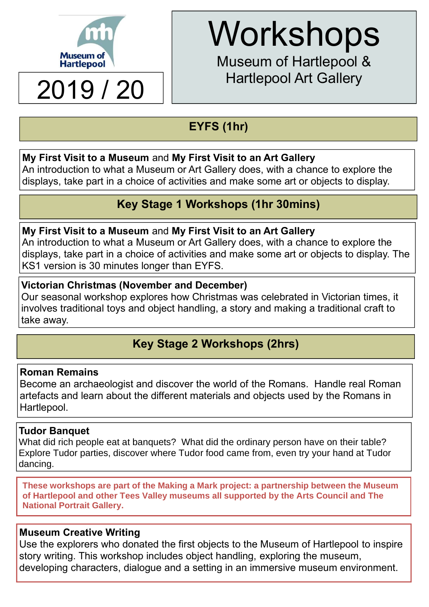

## 2019 / 20 | Hartlepool Art Gallery

# **Workshops**

Museum of Hartlepool &

## **EYFS (1hr)**

#### **My First Visit to a Museum** and **My First Visit to an Art Gallery**

An introduction to what a Museum or Art Gallery does, with a chance to explore the displays, take part in a choice of activities and make some art or objects to display.

## **Key Stage 1 Workshops (1hr 30mins)**

#### **My First Visit to a Museum** and **My First Visit to an Art Gallery**

An introduction to what a Museum or Art Gallery does, with a chance to explore the displays, take part in a choice of activities and make some art or objects to display. The KS1 version is 30 minutes longer than EYFS.

#### **Victorian Christmas (November and December)**

Our seasonal workshop explores how Christmas was celebrated in Victorian times, it involves traditional toys and object handling, a story and making a traditional craft to take away.

## **Key Stage 2 Workshops (2hrs)**

#### **Roman Remains**

Become an archaeologist and discover the world of the Romans. Handle real Roman artefacts and learn about the different materials and objects used by the Romans in Hartlepool.

#### **Tudor Banquet**

What did rich people eat at banquets? What did the ordinary person have on their table? Explore Tudor parties, discover where Tudor food came from, even try your hand at Tudor dancing.

**These workshops are part of the Making a Mark project: a partnership between the Museum of Hartlepool and other Tees Valley museums all supported by the Arts Council and The National Portrait Gallery.** 

#### **Museum Creative Writing**

Use the explorers who donated the first objects to the Museum of Hartlepool to inspire story writing. This workshop includes object handling, exploring the museum, developing characters, dialogue and a setting in an immersive museum environment.